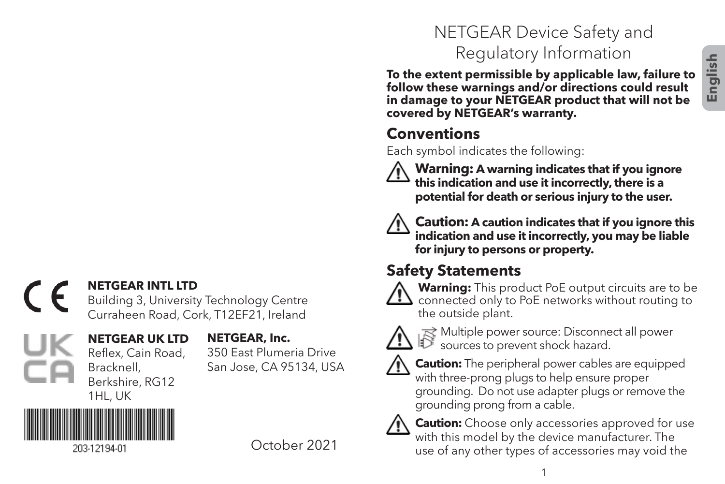# **English**

#### **NETGEAR INTL LTD**  $\epsilon$

Building 3, University Technology Centre Curraheen Road, Cork, T12EF21, Ireland

#### **NETGEAR UK LTD** Reflex, Cain Road, **NETGEAR, Inc.**

350 East Plumeria Drive San Jose, CA 95134, USA



Bracknell, Berkshire, RG12

October 2021

# NETGEAR Device Safety and Regulatory Information

**To the extent permissible by applicable law, failure to follow these warnings and/or directions could result in damage to your NETGEAR product that will not be covered by NETGEAR's warranty.**

# **Conventions**

Each symbol indicates the following:



 **Warning: A warning indicates that if you ignore this indication and use it incorrectly, there is a potential for death or serious injury to the user.**



 **Caution: A caution indicates that if you ignore this indication and use it incorrectly, you may be liable for injury to persons or property.**

# **Safety Statements**



 **Warning:** This product PoE output circuits are to be  $\Delta$  connected only to PoE networks without routing to the outside plant.



 $\mathbb{R}$  Multiple power source: Disconnect all power sources to prevent shock hazard.



 **Caution:** The peripheral power cables are equipped with three-prong plugs to help ensure proper grounding. Do not use adapter plugs or remove the grounding prong from a cable.



 **Caution:** Choose only accessories approved for use with this model by the device manufacturer. The use of any other types of accessories may void the

1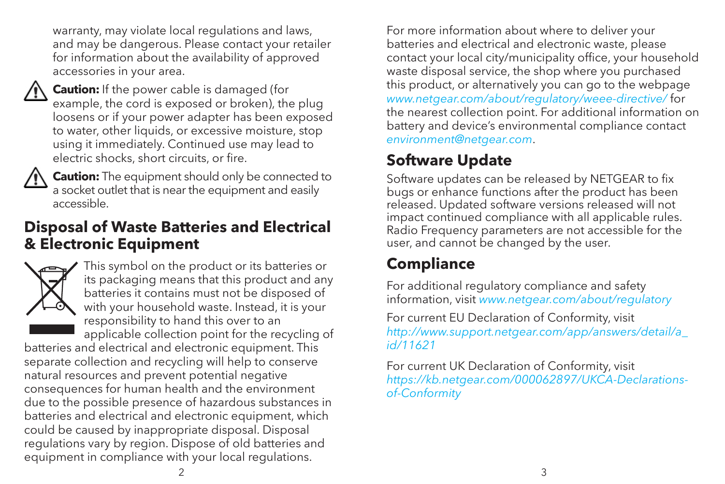warranty, may violate local regulations and laws, and may be dangerous. Please contact your retailer for information about the availability of approved accessories in your area.



 **Caution:** If the power cable is damaged (for example, the cord is exposed or broken), the plug loosens or if your power adapter has been exposed to water, other liquids, or excessive moisture, stop using it immediately. Continued use may lead to electric shocks, short circuits, or fire.



 **Caution:** The equipment should only be connected to a socket outlet that is near the equipment and easily accessible.

## **Disposal of Waste Batteries and Electrical & Electronic Equipment**



This symbol on the product or its batteries or its packaging means that this product and any batteries it contains must not be disposed of with your household waste. Instead, it is your responsibility to hand this over to an applicable collection point for the recycling of

batteries and electrical and electronic equipment. This separate collection and recycling will help to conserve natural resources and prevent potential negative consequences for human health and the environment due to the possible presence of hazardous substances in batteries and electrical and electronic equipment, which could be caused by inappropriate disposal. Disposal regulations vary by region. Dispose of old batteries and equipment in compliance with your local regulations.

For more information about where to deliver your batteries and electrical and electronic waste, please contact your local city/municipality office, your household waste disposal service, the shop where you purchased this product, or alternatively you can go to the webpage *www.netgear.com/about/regulatory/weee-directive/* for the nearest collection point. For additional information on battery and device's environmental compliance contact *environment@netgear.com*.

# **Software Update**

Software updates can be released by NETGEAR to fix bugs or enhance functions after the product has been released. Updated software versions released will not impact continued compliance with all applicable rules. Radio Frequency parameters are not accessible for the user, and cannot be changed by the user.

# **Compliance**

For additional regulatory compliance and safety information, visit *www.netgear.com/about/regulatory*

For current EU Declaration of Conformity, visit *http://www.support.netgear.com/app/answers/detail/a\_ id/11621*

For current UK Declaration of Conformity, visit *https://kb.netgear.com/000062897/UKCA-Declarationsof-Conformity*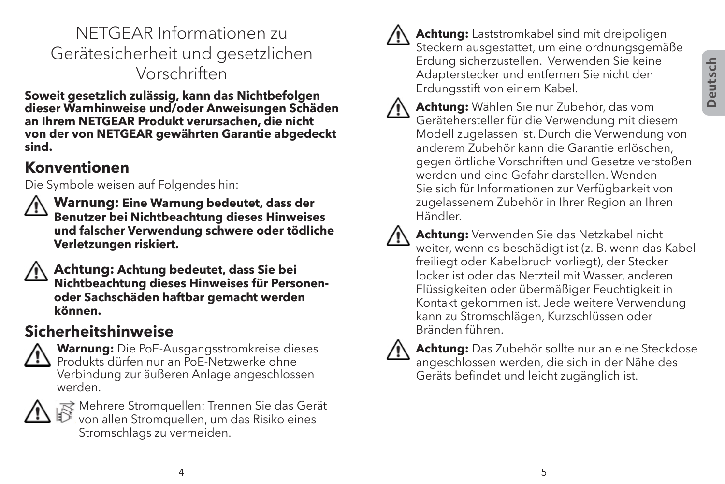# NETGEAR Informationen zu Gerätesicherheit und gesetzlichen Vorschriften

**Soweit gesetzlich zulässig, kann das Nichtbefolgen dieser Warnhinweise und/oder Anweisungen Schäden an Ihrem NETGEAR Produkt verursachen, die nicht von der von NETGEAR gewährten Garantie abgedeckt sind.**

#### **Konventionen**

Die Symbole weisen auf Folgendes hin:

 **Warnung: Eine Warnung bedeutet, dass der Benutzer bei Nichtbeachtung dieses Hinweises und falscher Verwendung schwere oder tödliche Verletzungen riskiert.**

 **Achtung: Achtung bedeutet, dass Sie bei Nichtbeachtung dieses Hinweises für Personenoder Sachschäden haftbar gemacht werden können.**

#### **Sicherheitshinweise**

 **Warnung:** Die PoE-Ausgangsstromkreise dieses Produkts dürfen nur an PoE-Netzwerke ohne Verbindung zur äußeren Anlage angeschlossen werden.



 $\mathbb R$  Mehrere Stromquellen: Trennen Sie das Gerät von allen Stromquellen, um das Risiko eines Stromschlags zu vermeiden.



 **Achtung:** Laststromkabel sind mit dreipoligen Steckern ausgestattet, um eine ordnungsgemäße Erdung sicherzustellen. Verwenden Sie keine Adapterstecker und entfernen Sie nicht den Erdungsstift von einem Kabel.





 **Achtung:** Verwenden Sie das Netzkabel nicht weiter, wenn es beschädigt ist (z. B. wenn das Kabel freiliegt oder Kabelbruch vorliegt), der Stecker locker ist oder das Netzteil mit Wasser, anderen Flüssigkeiten oder übermäßiger Feuchtigkeit in Kontakt gekommen ist. Jede weitere Verwendung kann zu Stromschlägen, Kurzschlüssen oder Bränden führen.



 **Achtung:** Das Zubehör sollte nur an eine Steckdose angeschlossen werden, die sich in der Nähe des Geräts befindet und leicht zugänglich ist.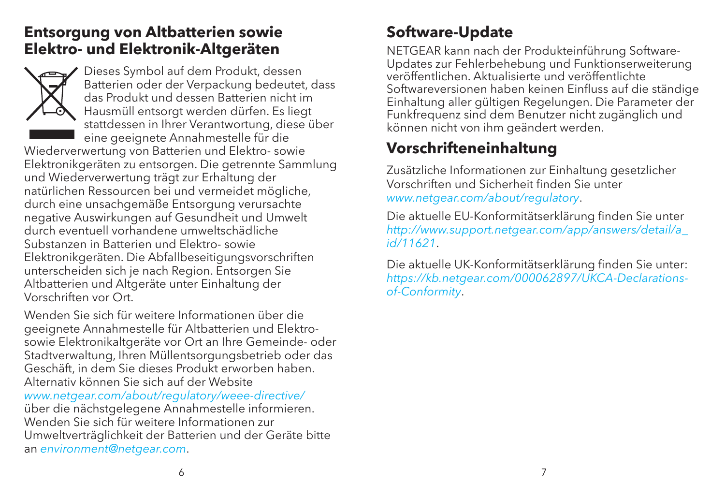#### **Entsorgung von Altbatterien sowie Elektro- und Elektronik-Altgeräten**



Dieses Symbol auf dem Produkt, dessen Batterien oder der Verpackung bedeutet, dass das Produkt und dessen Batterien nicht im Hausmüll entsorgt werden dürfen. Es liegt stattdessen in Ihrer Verantwortung, diese über eine geeignete Annahmestelle für die

Wiederverwertung von Batterien und Elektro- sowie Elektronikgeräten zu entsorgen. Die getrennte Sammlung und Wiederverwertung trägt zur Erhaltung der natürlichen Ressourcen bei und vermeidet mögliche, durch eine unsachgemäße Entsorgung verursachte negative Auswirkungen auf Gesundheit und Umwelt durch eventuell vorhandene umweltschädliche Substanzen in Batterien und Elektro- sowie Elektronikgeräten. Die Abfallbeseitigungsvorschriften unterscheiden sich je nach Region. Entsorgen Sie Altbatterien und Altgeräte unter Einhaltung der Vorschriften vor Ort.

Wenden Sie sich für weitere Informationen über die geeignete Annahmestelle für Altbatterien und Elektrosowie Elektronikaltgeräte vor Ort an Ihre Gemeinde- oder Stadtverwaltung, Ihren Müllentsorgungsbetrieb oder das Geschäft, in dem Sie dieses Produkt erworben haben. Alternativ können Sie sich auf der Website *www.netgear.com/about/regulatory/weee-directive/* über die nächstgelegene Annahmestelle informieren. Wenden Sie sich für weitere Informationen zur Umweltverträglichkeit der Batterien und der Geräte bitte an *environment@netgear.com*.

# **Software-Update**

NETGEAR kann nach der Produkteinführung Software-Updates zur Fehlerbehebung und Funktionserweiterung veröffentlichen. Aktualisierte und veröffentlichte Softwareversionen haben keinen Einfluss auf die ständige Einhaltung aller gültigen Regelungen. Die Parameter der Funkfrequenz sind dem Benutzer nicht zugänglich und können nicht von ihm geändert werden.

# **Vorschrifteneinhaltung**

Zusätzliche Informationen zur Einhaltung gesetzlicher Vorschriften und Sicherheit finden Sie unter *www.netgear.com/about/regulatory*.

Die aktuelle EU-Konformitätserklärung finden Sie unter *http://www.support.netgear.com/app/answers/detail/a\_ id/11621*.

Die aktuelle UK-Konformitätserklärung finden Sie unter: *https://kb.netgear.com/000062897/UKCA-Declarationsof-Conformity*.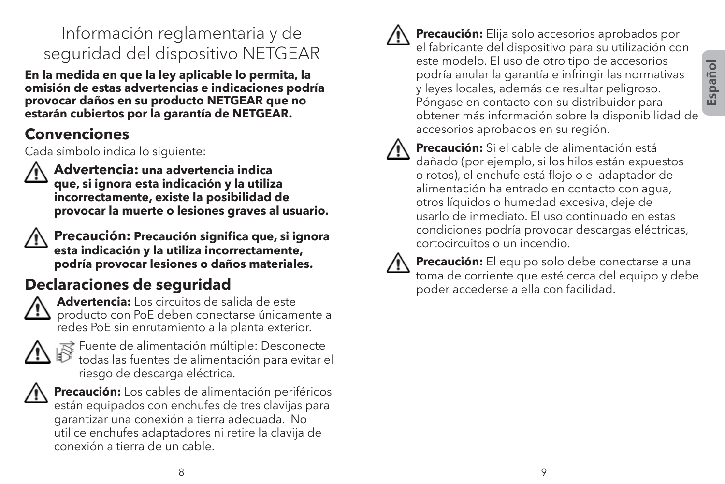# Información reglamentaria y de seguridad del dispositivo NETGEAR

**En la medida en que la ley aplicable lo permita, la omisión de estas advertencias e indicaciones podría provocar daños en su producto NETGEAR que no estarán cubiertos por la garantía de NETGEAR.**

#### **Convenciones**

Cada símbolo indica lo siguiente:



 **Advertencia: una advertencia indica que, si ignora esta indicación y la utiliza incorrectamente, existe la posibilidad de provocar la muerte o lesiones graves al usuario.**



 **Precaución: Precaución significa que, si ignora esta indicación y la utiliza incorrectamente, podría provocar lesiones o daños materiales.**

# **Declaraciones de seguridad**



 **Advertencia:** Los circuitos de salida de este producto con PoE deben conectarse únicamente a redes PoE sin enrutamiento a la planta exterior.



 $\approx$  Fuente de alimentación múltiple: Desconecte todas las fuentes de alimentación para evitar el riesgo de descarga eléctrica.



 **Precaución:** Los cables de alimentación periféricos están equipados con enchufes de tres clavijas para garantizar una conexión a tierra adecuada. No utilice enchufes adaptadores ni retire la clavija de conexión a tierra de un cable.

 **Precaución:** Elija solo accesorios aprobados por el fabricante del dispositivo para su utilización con este modelo. El uso de otro tipo de accesorios podría anular la garantía e infringir las normativas y leyes locales, además de resultar peligroso. Póngase en contacto con su distribuidor para obtener más información sobre la disponibilidad de accesorios aprobados en su región.



 **Precaución:** Si el cable de alimentación está dañado (por ejemplo, si los hilos están expuestos o rotos), el enchufe está flojo o el adaptador de alimentación ha entrado en contacto con agua, otros líquidos o humedad excesiva, deje de usarlo de inmediato. El uso continuado en estas condiciones podría provocar descargas eléctricas, cortocircuitos o un incendio.



 **Precaución:** El equipo solo debe conectarse a una toma de corriente que esté cerca del equipo y debe poder accederse a ella con facilidad.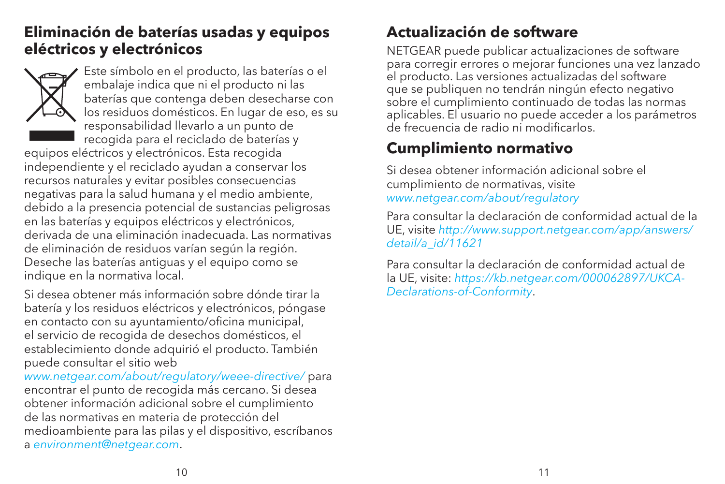#### **Eliminación de baterías usadas y equipos eléctricos y electrónicos**



Este símbolo en el producto, las baterías o el embalaje indica que ni el producto ni las baterías que contenga deben desecharse con los residuos domésticos. En lugar de eso, es su responsabilidad llevarlo a un punto de recogida para el reciclado de baterías y

equipos eléctricos y electrónicos. Esta recogida independiente y el reciclado ayudan a conservar los recursos naturales y evitar posibles consecuencias negativas para la salud humana y el medio ambiente, debido a la presencia potencial de sustancias peligrosas en las baterías y equipos eléctricos y electrónicos, derivada de una eliminación inadecuada. Las normativas de eliminación de residuos varían según la región. Deseche las baterías antiguas y el equipo como se indique en la normativa local.

Si desea obtener más información sobre dónde tirar la batería y los residuos eléctricos y electrónicos, póngase en contacto con su ayuntamiento/oficina municipal, el servicio de recogida de desechos domésticos, el establecimiento donde adquirió el producto. También puede consultar el sitio web

*www.netgear.com/about/regulatory/weee-directive/* para encontrar el punto de recogida más cercano. Si desea obtener información adicional sobre el cumplimiento de las normativas en materia de protección del medioambiente para las pilas y el dispositivo, escríbanos a *environment@netgear.com*.

# **Actualización de software**

NETGEAR puede publicar actualizaciones de software para corregir errores o mejorar funciones una vez lanzado el producto. Las versiones actualizadas del software que se publiquen no tendrán ningún efecto negativo sobre el cumplimiento continuado de todas las normas aplicables. El usuario no puede acceder a los parámetros de frecuencia de radio ni modificarlos.

# **Cumplimiento normativo**

Si desea obtener información adicional sobre el cumplimiento de normativas, visite *www.netgear.com/about/regulatory*

Para consultar la declaración de conformidad actual de la UE, visite *http://www.support.netgear.com/app/answers/ detail/a\_id/11621*

Para consultar la declaración de conformidad actual de la UE, visite: *https://kb.netgear.com/000062897/UKCA-Declarations-of-Conformity*.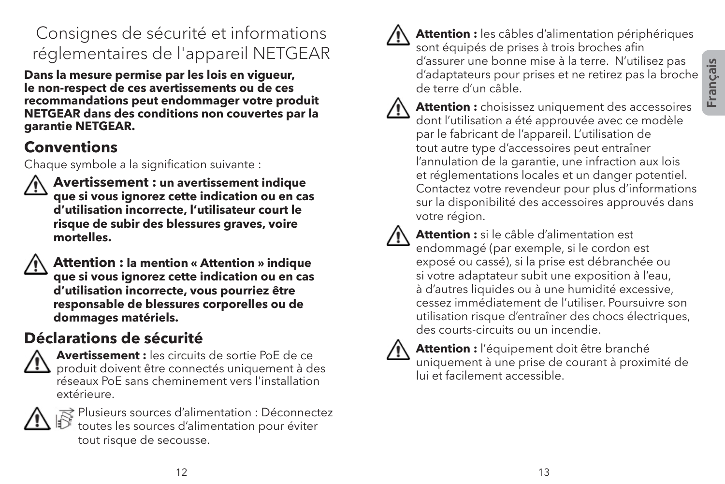# Consignes de sécurité et informations réglementaires de l'appareil NETGEAR

**Dans la mesure permise par les lois en vigueur, le non-respect de ces avertissements ou de ces recommandations peut endommager votre produit NETGEAR dans des conditions non couvertes par la garantie NETGEAR.**

#### **Conventions**

Chaque symbole a la signification suivante :



 **Avertissement : un avertissement indique que si vous ignorez cette indication ou en cas d'utilisation incorrecte, l'utilisateur court le risque de subir des blessures graves, voire mortelles.**



 **Attention : la mention « Attention » indique que si vous ignorez cette indication ou en cas d'utilisation incorrecte, vous pourriez être responsable de blessures corporelles ou de dommages matériels.**

# **Déclarations de sécurité**



 **Avertissement :** les circuits de sortie PoE de ce produit doivent être connectés uniquement à des réseaux PoE sans cheminement vers l'installation extérieure.



 $\approx$  Plusieurs sources d'alimentation : Déconnectez toutes les sources d'alimentation pour éviter tout risque de secousse.



 **Attention :** les câbles d'alimentation périphériques sont équipés de prises à trois broches afin d'assurer une bonne mise à la terre. N'utilisez pas d'adaptateurs pour prises et ne retirez pas la broche de terre d'un câble.



 **Attention :** choisissez uniquement des accessoires dont l'utilisation a été approuvée avec ce modèle par le fabricant de l'appareil. L'utilisation de tout autre type d'accessoires peut entraîner l'annulation de la garantie, une infraction aux lois et réglementations locales et un danger potentiel. Contactez votre revendeur pour plus d'informations sur la disponibilité des accessoires approuvés dans votre région.



 **Attention :** si le câble d'alimentation est endommagé (par exemple, si le cordon est exposé ou cassé), si la prise est débranchée ou si votre adaptateur subit une exposition à l'eau, à d'autres liquides ou à une humidité excessive, cessez immédiatement de l'utiliser. Poursuivre son utilisation risque d'entraîner des chocs électriques, des courts-circuits ou un incendie.



 **Attention :** l'équipement doit être branché uniquement à une prise de courant à proximité de lui et facilement accessible.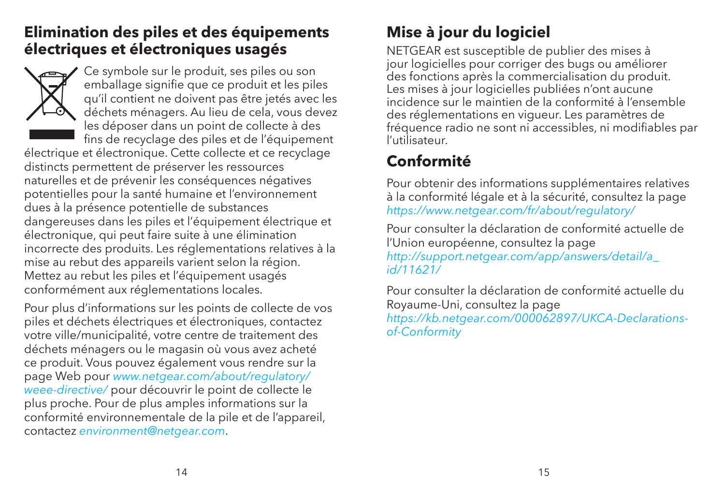#### **Elimination des piles et des équipements électriques et électroniques usagés**



Ce symbole sur le produit, ses piles ou son emballage signifie que ce produit et les piles qu'il contient ne doivent pas être jetés avec les déchets ménagers. Au lieu de cela, vous devez les déposer dans un point de collecte à des fins de recyclage des piles et de l'équipement

électrique et électronique. Cette collecte et ce recyclage distincts permettent de préserver les ressources naturelles et de prévenir les conséquences négatives potentielles pour la santé humaine et l'environnement dues à la présence potentielle de substances dangereuses dans les piles et l'équipement électrique et électronique, qui peut faire suite à une élimination incorrecte des produits. Les réglementations relatives à la mise au rebut des appareils varient selon la région. Mettez au rebut les piles et l'équipement usagés conformément aux réglementations locales.

Pour plus d'informations sur les points de collecte de vos piles et déchets électriques et électroniques, contactez votre ville/municipalité, votre centre de traitement des déchets ménagers ou le magasin où vous avez acheté ce produit. Vous pouvez également vous rendre sur la page Web pour *www.netgear.com/about/regulatory/ weee-directive/* pour découvrir le point de collecte le plus proche. Pour de plus amples informations sur la conformité environnementale de la pile et de l'appareil, contactez *environment@netgear.com*.

# **Mise à jour du logiciel**

NETGEAR est susceptible de publier des mises à jour logicielles pour corriger des bugs ou améliorer des fonctions après la commercialisation du produit. Les mises à jour logicielles publiées n'ont aucune incidence sur le maintien de la conformité à l'ensemble des réglementations en vigueur. Les paramètres de fréquence radio ne sont ni accessibles, ni modifiables par l'utilisateur.

# **Conformité**

Pour obtenir des informations supplémentaires relatives à la conformité légale et à la sécurité, consultez la page *https://www.netgear.com/fr/about/regulatory/*

Pour consulter la déclaration de conformité actuelle de l'Union européenne, consultez la page *http://support.netgear.com/app/answers/detail/a\_ id/11621/*

Pour consulter la déclaration de conformité actuelle du Royaume-Uni, consultez la page *https://kb.netgear.com/000062897/UKCA-Declarationsof-Conformity*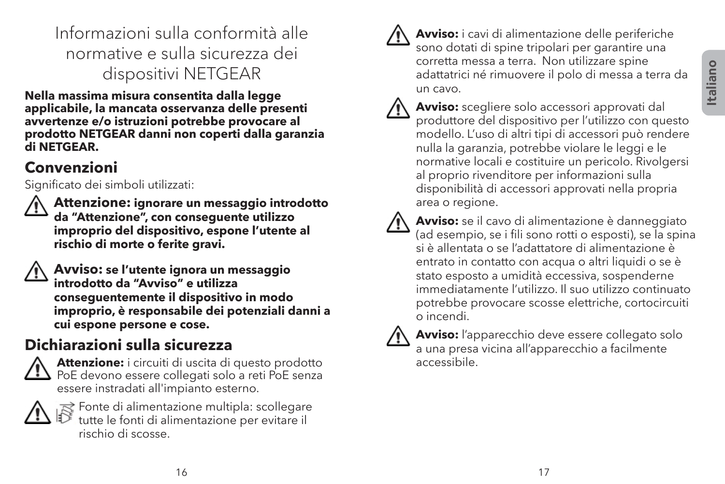Informazioni sulla conformità alle normative e sulla sicurezza dei dispositivi NETGEAR

**Nella massima misura consentita dalla legge applicabile, la mancata osservanza delle presenti avvertenze e/o istruzioni potrebbe provocare al prodotto NETGEAR danni non coperti dalla garanzia di NETGEAR.**

### **Convenzioni**

Significato dei simboli utilizzati:

 **Attenzione: ignorare un messaggio introdotto da "Attenzione", con conseguente utilizzo improprio del dispositivo, espone l'utente al rischio di morte o ferite gravi.**

 **Avviso: se l'utente ignora un messaggio introdotto da "Avviso" e utilizza conseguentemente il dispositivo in modo improprio, è responsabile dei potenziali danni a cui espone persone e cose.**

# **Dichiarazioni sulla sicurezza**



 **Attenzione:** i circuiti di uscita di questo prodotto  $\Box$  PoE devono essere collegati solo a reti PoE senza essere instradati all'impianto esterno.



 $\mathbb{R}^2$  Fonte di alimentazione multipla: scollegare tutte le fonti di alimentazione per evitare il rischio di scosse.



 **Avviso:** i cavi di alimentazione delle periferiche sono dotati di spine tripolari per garantire una corretta messa a terra. Non utilizzare spine adattatrici né rimuovere il polo di messa a terra da un cavo.



 **Avviso:** scegliere solo accessori approvati dal produttore del dispositivo per l'utilizzo con questo modello. L'uso di altri tipi di accessori può rendere nulla la garanzia, potrebbe violare le leggi e le normative locali e costituire un pericolo. Rivolgersi al proprio rivenditore per informazioni sulla disponibilità di accessori approvati nella propria area o regione.



 **Avviso:** se il cavo di alimentazione è danneggiato (ad esempio, se i fili sono rotti o esposti), se la spina si è allentata o se l'adattatore di alimentazione è entrato in contatto con acqua o altri liquidi o se è stato esposto a umidità eccessiva, sospenderne immediatamente l'utilizzo. Il suo utilizzo continuato potrebbe provocare scosse elettriche, cortocircuiti o incendi.



 **Avviso:** l'apparecchio deve essere collegato solo a una presa vicina all'apparecchio a facilmente accessibile.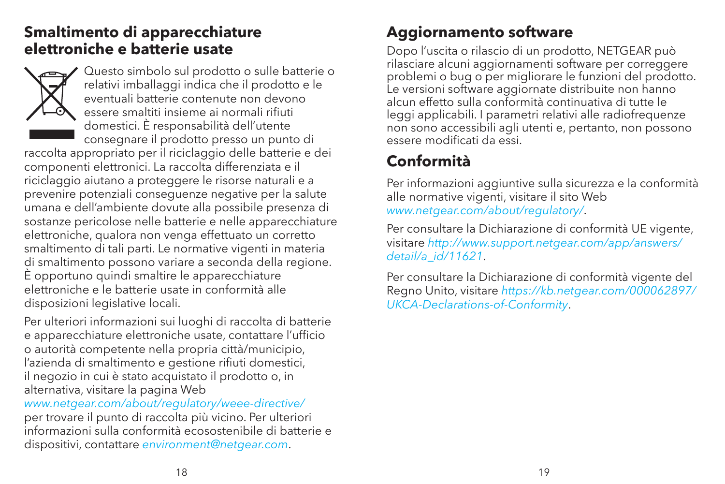#### **Smaltimento di apparecchiature elettroniche e batterie usate**



Questo simbolo sul prodotto o sulle batterie o relativi imballaggi indica che il prodotto e le eventuali batterie contenute non devono essere smaltiti insieme ai normali rifiuti domestici. È responsabilità dell'utente consegnare il prodotto presso un punto di

raccolta appropriato per il riciclaggio delle batterie e dei componenti elettronici. La raccolta differenziata e il riciclaggio aiutano a proteggere le risorse naturali e a prevenire potenziali conseguenze negative per la salute umana e dell'ambiente dovute alla possibile presenza di sostanze pericolose nelle batterie e nelle apparecchiature elettroniche, qualora non venga effettuato un corretto smaltimento di tali parti. Le normative vigenti in materia di smaltimento possono variare a seconda della regione. È opportuno quindi smaltire le apparecchiature elettroniche e le batterie usate in conformità alle disposizioni legislative locali.

Per ulteriori informazioni sui luoghi di raccolta di batterie e apparecchiature elettroniche usate, contattare l'ufficio o autorità competente nella propria città/municipio, l'azienda di smaltimento e gestione rifiuti domestici, il negozio in cui è stato acquistato il prodotto o, in alternativa, visitare la pagina Web

*www.netgear.com/about/regulatory/weee-directive/* per trovare il punto di raccolta più vicino. Per ulteriori informazioni sulla conformità ecosostenibile di batterie e dispositivi, contattare *environment@netgear.com*.

#### **Aggiornamento software**

Dopo l'uscita o rilascio di un prodotto, NETGEAR può rilasciare alcuni aggiornamenti software per correggere problemi o bug o per migliorare le funzioni del prodotto. Le versioni software aggiornate distribuite non hanno alcun effetto sulla conformità continuativa di tutte le leggi applicabili. I parametri relativi alle radiofrequenze non sono accessibili agli utenti e, pertanto, non possono essere modificati da essi.

# **Conformità**

Per informazioni aggiuntive sulla sicurezza e la conformità alle normative vigenti, visitare il sito Web *www.netgear.com/about/regulatory/*.

Per consultare la Dichiarazione di conformità UE vigente, visitare *http://www.support.netgear.com/app/answers/ detail/a\_id/11621*.

Per consultare la Dichiarazione di conformità vigente del Regno Unito, visitare *https://kb.netgear.com/000062897/ UKCA-Declarations-of-Conformity*.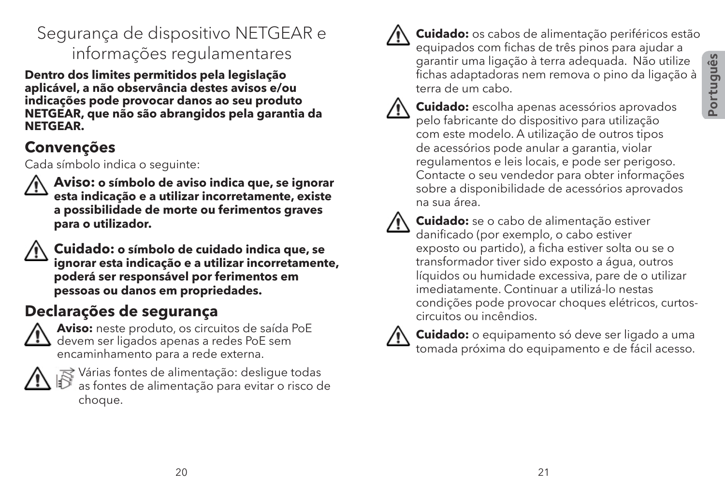# Segurança de dispositivo NETGEAR e informações regulamentares

**Dentro dos limites permitidos pela legislação aplicável, a não observância destes avisos e/ou indicações pode provocar danos ao seu produto NETGEAR, que não são abrangidos pela garantia da NETGEAR.**

#### **Convenções**

Cada símbolo indica o seguinte:



 **Aviso: o símbolo de aviso indica que, se ignorar esta indicação e a utilizar incorretamente, existe a possibilidade de morte ou ferimentos graves para o utilizador.**



 **Cuidado: o símbolo de cuidado indica que, se ignorar esta indicação e a utilizar incorretamente, poderá ser responsável por ferimentos em pessoas ou danos em propriedades.**

# **Declarações de segurança**



 **Aviso:** neste produto, os circuitos de saída PoE devem ser ligados apenas a redes PoE sem encaminhamento para a rede externa.



 $\approx$  Várias fontes de alimentação: desligue todas as fontes de alimentação para evitar o risco de choque.



 **Cuidado:** os cabos de alimentação periféricos estão equipados com fichas de três pinos para ajudar a garantir uma ligação à terra adequada. Não utilize fichas adaptadoras nem remova o pino da ligação à terra de um cabo.



 **Cuidado:** escolha apenas acessórios aprovados pelo fabricante do dispositivo para utilização com este modelo. A utilização de outros tipos de acessórios pode anular a garantia, violar regulamentos e leis locais, e pode ser perigoso. Contacte o seu vendedor para obter informações sobre a disponibilidade de acessórios aprovados na sua área.



 **Cuidado:** se o cabo de alimentação estiver danificado (por exemplo, o cabo estiver exposto ou partido), a ficha estiver solta ou se o transformador tiver sido exposto a água, outros líquidos ou humidade excessiva, pare de o utilizar imediatamente. Continuar a utilizá-lo nestas condições pode provocar choques elétricos, curtoscircuitos ou incêndios.



 **Cuidado:** o equipamento só deve ser ligado a uma tomada próxima do equipamento e de fácil acesso.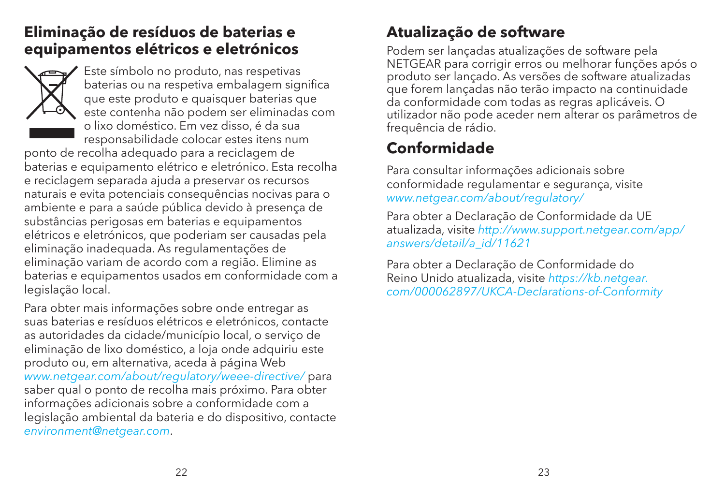#### **Eliminação de resíduos de baterias e equipamentos elétricos e eletrónicos**



Este símbolo no produto, nas respetivas baterias ou na respetiva embalagem significa que este produto e quaisquer baterias que este contenha não podem ser eliminadas com o lixo doméstico. Em vez disso, é da sua responsabilidade colocar estes itens num

ponto de recolha adequado para a reciclagem de baterias e equipamento elétrico e eletrónico. Esta recolha e reciclagem separada ajuda a preservar os recursos naturais e evita potenciais consequências nocivas para o ambiente e para a saúde pública devido à presença de substâncias perigosas em baterias e equipamentos elétricos e eletrónicos, que poderiam ser causadas pela eliminação inadequada. As regulamentações de eliminação variam de acordo com a região. Elimine as baterias e equipamentos usados em conformidade com a legislação local.

Para obter mais informações sobre onde entregar as suas baterias e resíduos elétricos e eletrónicos, contacte as autoridades da cidade/município local, o serviço de eliminação de lixo doméstico, a loja onde adquiriu este produto ou, em alternativa, aceda à página Web *www.netgear.com/about/regulatory/weee-directive/* para saber qual o ponto de recolha mais próximo. Para obter informações adicionais sobre a conformidade com a legislação ambiental da bateria e do dispositivo, contacte *environment@netgear.com*.

#### **Atualização de software**

Podem ser lançadas atualizações de software pela NETGEAR para corrigir erros ou melhorar funções após o produto ser lançado. As versões de software atualizadas que forem lançadas não terão impacto na continuidade da conformidade com todas as regras aplicáveis. O utilizador não pode aceder nem alterar os parâmetros de frequência de rádio.

# **Conformidade**

Para consultar informações adicionais sobre conformidade regulamentar e segurança, visite *www.netgear.com/about/regulatory/*

Para obter a Declaração de Conformidade da UE atualizada, visite *http://www.support.netgear.com/app/ answers/detail/a\_id/11621*

Para obter a Declaração de Conformidade do Reino Unido atualizada, visite *https://kb.netgear. com/000062897/UKCA-Declarations-of-Conformity*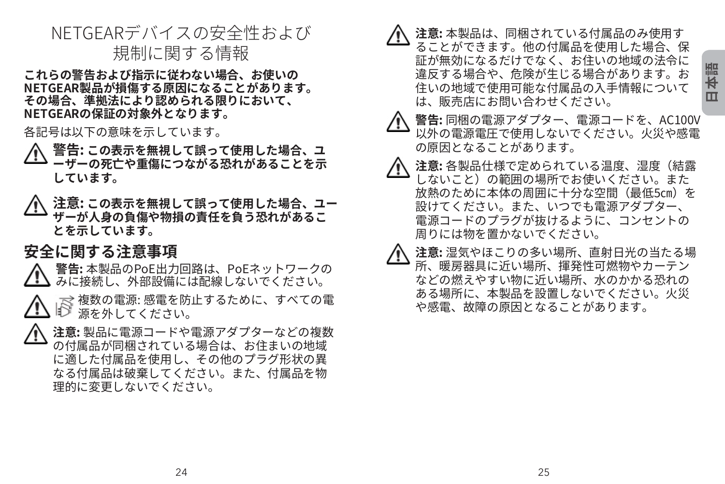#### NETGEARデバイスの安全性および 規制に関する情報

**これらの警告および指示に従わない場合、お使いの NETGEAR製品が損傷する原因になることがあります。 その場合、準拠法により認められる限りにおいて、 NETGEARの保証の対象外となります。**

各記号は以下の意味を示しています。

- **警告: この表示を無視して誤って使用した場合、ユ ーザーの死亡や重傷につながる恐れがあることを示 しています。**
- **注意: この表示を無視して誤って使用した場合、ユー ザーが人身の負傷や物損の責任を負う恐れがあるこ とを示しています。**

#### **安全に関する注意事項**

 **警告:** 本製品のPoE出力回路は、PoEネットワークの みに接続し、外部設備には配線しないでください。

- $\gtrsim$  複数の電源: 感電を防止するために、すべての雷 源を外してください。
- **注意:** 製品に電源コードや電源アダプターなどの複数 の付属品が同梱されている場合は、お住まいの地域 に適した付属品を使用し、その他のプラグ形状の異 なる付属品は破棄してください。また、付属品を物 理的に変更しないでください。

 **注意:** 本製品は、同梱されている付属品のみ使用す ることができます。他の付属品を使用した場合、保 証が無効になるだけでなく、お住いの地域の法令に 違反する場合や、危険が生じる場合があります。お 住いの地域で使用可能な付属品の入手情報について は、販売店にお問い合わせください。

- **警告:** 同梱の電源アダプター、電源コードを、AC100V 以外の電源電圧で使用しないでください。火災や感電 の原因となることがあります。
- **注意:** 各製品仕様で定められている温度、湿度(結露 しないこと)の範囲の場所でお使いください。また 放熱のために本体の周囲に十分な空間(最低5㎝)を 設けてください。また、いつでも電源アダプター、 電源コードのプラグが抜けるように、コンセントの 周りには物を置かないでください。
- **注意:** 湿気やほこりの多い場所、直射日光の当たる場 所、暖房器具に近い場所、揮発性可燃物やカーテン などの燃えやすい物に近い場所、水のかかる恐れの ある場所に、本製品を設置しないでください。火災 や感電、故障の原因となることがあります。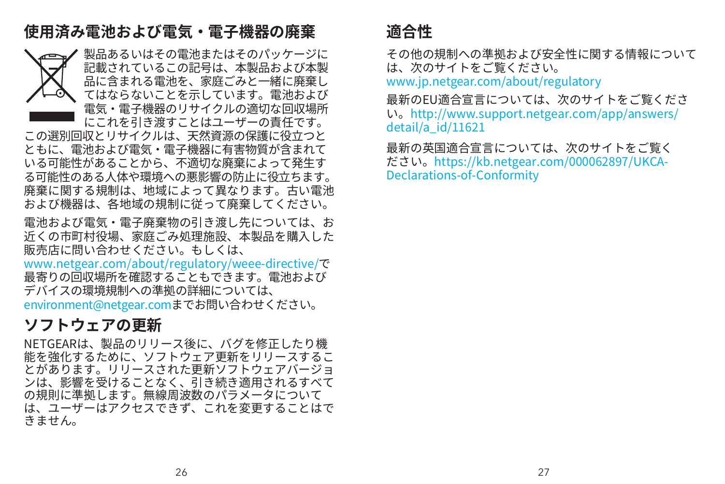## **使用済み電池および電気・電子機器の廃棄**



製品あるいはその電池またはそのパッケージに 記載されているこの記号は、本製品および本製 品に含まれる電池を、家庭ごみと一緒に廃棄し てはならないことを示しています。電池および 電気・電子機器のリサイクルの適切な回収場所 にこれを引き渡すことはユーザーの責任です。

この選別回収とリサイクルは、天然資源の保護に役立つと ともに、電池および電気・電子機器に有害物質が含まれて いる可能性があることから、不適切な廃棄によって発生す る可能性のある人体や環境への悪影響の防止に役立ちます。 廃棄に関する規制は、地域によって異なります。古い電池 および機器は、各地域の規制に従って廃棄してください。

電池および電気・電子廃棄物の引き渡し先については、お 近くの市町村役場、家庭ごみ処理施設、本製品を購入した 販売店に問い合わせください。もしくは、

<www.netgear.com/about/regulatory/weee-directive/>で 最寄りの回収場所を確認することもできます。電池および デバイスの環境規制への準拠の詳細については、 [environment@netgear.comま](http://environment@netgear.com)でお問い合わせください。

#### **ソフトウェアの更新**

NETGEARは、製品のリリース後に、バグを修正したり機 能を強化するために、ソフトウェア更新をリリースするこ とがあります。リリースされた更新ソフトウェアバージョ ンは、影響を受けることなく、引き続き適用されるすべて の規則に準拠します。無線周波数のパラメータについて は、ユーザーはアクセスできず、これを変更することはで きません。

#### **適合性**

その他の規制への準拠および安全性に関する情報について は、次のサイトをご覧ください。

www.jp.netgear.com/about/regulatory

最新のEU適合宣言については、次のサイトをご覧くださ い。http://www.support.netgear.com/app/answers/ detail/a\_id/11621

最新の英国適合宣言については、次のサイトをご覧く ださい。https://kb.netgear.com/000062897/UKCA-Declarations-of-Conformity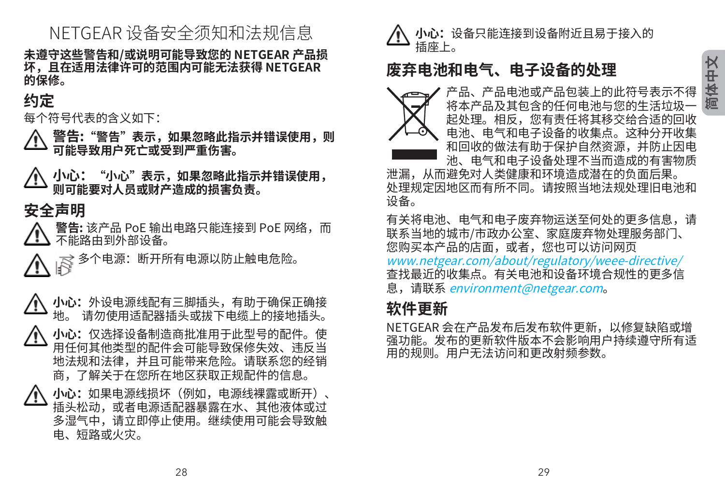# 简体中 **文**

## NETGEAR 设备安全须知和法规信息

**未遵守这些警告和/或说明可能导致您的 NETGEAR 产品损 坏,且在适用法律许可的范围内可能无法获得 NETGEAR 的保修。**

#### **约定**

每个符号代表的含义如下:

电、短路或火灾。

 **警告:"警告"表示,如果忽略此指示并错误使用,则 可能导致用户死亡或受到严重伤害。**

 **小心:"小心"表示,如果忽略此指示并错误使用, 则可能要对人员或财产造成的损害负责。**

#### **安全声明**



多个电源:断开所有电源以防止触电危险。



**小心:**外设电源线配有三脚插头,有助于佣保止佣接 地。 请勿使用适配器插头或拔下电缆上的接地插头。 **小心:**仅选择设备制造商批准用于此型号的配件。使 用任何其他类型的配件会可能导致保修失效、违反当 地法规和法律,并且可能带来危险。请联系您的经销 商,了解关于在您所在地区获取正规配件的信息。 **小心:**如果电源线损坏(例如,电源线裸露或断开)、 插头松动,或者电源适配器暴露在水、其他液体或过 多湿气中,请立即停止使用。继续使用可能会导致触



#### **废弃电池和电气、电子设备的处理**



产品、产品电池或产品包装上的此符号表示不得 将本产品及其包含的任何电池与您的生活垃圾 起处理。相反,您有责任将其移交给合适的回收 电池、电气和电子设备的收集点。这种分开收集 和回收的做法有助于保护自然资源,并防止因电 池、电气和电子设备处理不当而造成的有害物质

泄漏,从而避免对人类健康和环境造成潜在的负面后果。 处理规定因地区而有所不同。请按照当地法规处理旧电池和 设备。

有关将电池、电气和电子废弃物运送至何处的更多信息,请 联系当地的城市/市政办公室、家庭废弃物处理服务部门、 您购买本产品的店面,或者,您也可以访问网页 www.netgear.com/about/regulatory/weee-directive/ 查找最近的收集点。有关电池和设备环境合规性的更多信 息,请联系 environment@netgear.com。

#### **软件更新**

NETGEAR 会在产品发布后发布软件更新,以修复缺陷或增 强功能。发布的更新软件版本不会影响用户持续遵守所有适 用的规则。用户无法访问和更改射频参数。